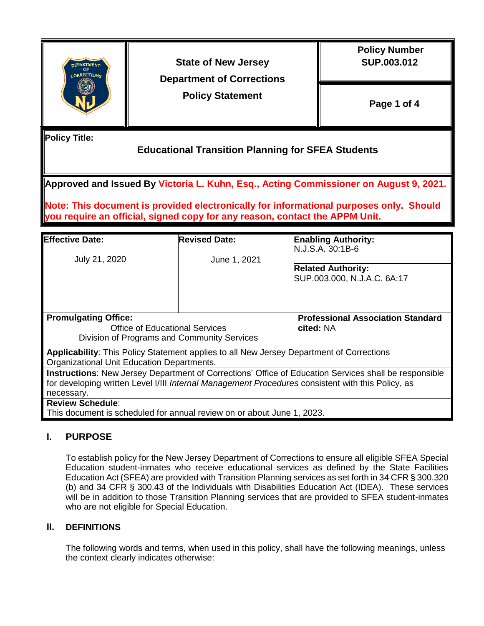

**State of New Jersey Department of Corrections** 

**Policy Statement**

 **Policy Number SUP.003.012**

**Page 1 of 4**

**Policy Title:**

# **Educational Transition Planning for SFEA Students**

**Approved and Issued By Victoria L. Kuhn, Esq., Acting Commissioner on August 9, 2021.** 

**Note: This document is provided electronically for informational purposes only. Should you require an official, signed copy for any reason, contact the APPM Unit.** 

| <b>Effective Date:</b>                                                                                       | <b>Revised Date:</b> | <b>Enabling Authority:</b><br>N.J.S.A. 30:1B-6                                                    |  |
|--------------------------------------------------------------------------------------------------------------|----------------------|---------------------------------------------------------------------------------------------------|--|
| July 21, 2020                                                                                                | June 1, 2021         |                                                                                                   |  |
|                                                                                                              |                      | <b>Related Authority:</b>                                                                         |  |
|                                                                                                              |                      | SUP.003.000, N.J.A.C. 6A:17                                                                       |  |
|                                                                                                              |                      |                                                                                                   |  |
| <b>Promulgating Office:</b>                                                                                  |                      | <b>Professional Association Standard</b>                                                          |  |
| Office of Educational Services                                                                               |                      | cited: NA                                                                                         |  |
| Division of Programs and Community Services                                                                  |                      |                                                                                                   |  |
| Applicability: This Policy Statement applies to all New Jersey Department of Corrections                     |                      |                                                                                                   |  |
| Organizational Unit Education Departments.                                                                   |                      |                                                                                                   |  |
| <b>Instructions:</b> New Jersey Department of Corrections' Office of Education Services shall be responsible |                      |                                                                                                   |  |
|                                                                                                              |                      | for developing written Level I/III Internal Management Procedures consistent with this Policy, as |  |
| necessary.                                                                                                   |                      |                                                                                                   |  |
| <b>Review Schedule:</b>                                                                                      |                      |                                                                                                   |  |
| This document is scheduled for annual review on or about June 1, 2023.                                       |                      |                                                                                                   |  |

### **I. PURPOSE**

To establish policy for the New Jersey Department of Corrections to ensure all eligible SFEA Special Education student-inmates who receive educational services as defined by the State Facilities Education Act (SFEA) are provided with Transition Planning services as set forth in 34 CFR § 300.320 (b) and 34 CFR § 300.43 of the Individuals with Disabilities Education Act (IDEA). These services will be in addition to those Transition Planning services that are provided to SFEA student-inmates who are not eligible for Special Education.

### **II. DEFINITIONS**

The following words and terms, when used in this policy, shall have the following meanings, unless the context clearly indicates otherwise: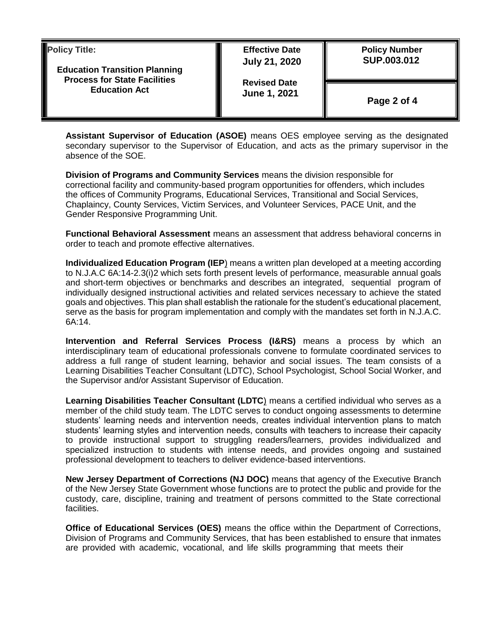| <b>Policy Title:</b><br><b>Education Transition Planning</b><br><b>Process for State Facilities</b><br><b>Education Act</b> | <b>Effective Date</b><br><b>July 21, 2020</b><br><b>Revised Date</b><br>June 1, 2021 | <b>Policy Number</b><br>SUP.003.012 |
|-----------------------------------------------------------------------------------------------------------------------------|--------------------------------------------------------------------------------------|-------------------------------------|
|                                                                                                                             |                                                                                      | Page 2 of 4                         |

**Assistant Supervisor of Education (ASOE)** means OES employee serving as the designated secondary supervisor to the Supervisor of Education, and acts as the primary supervisor in the absence of the SOE.

**Division of Programs and Community Services** means the division responsible for correctional facility and community-based program opportunities for offenders, which includes the offices of Community Programs, Educational Services, Transitional and Social Services, Chaplaincy, County Services, Victim Services, and Volunteer Services, PACE Unit, and the Gender Responsive Programming Unit.

**Functional Behavioral Assessment** means an assessment that address behavioral concerns in order to teach and promote effective alternatives.

**Individualized Education Program (IEP**) means a written plan developed at a meeting according to N.J.A.C 6A:14-2.3(i)2 which sets forth present levels of performance, measurable annual goals and short-term objectives or benchmarks and describes an integrated, sequential program of individually designed instructional activities and related services necessary to achieve the stated goals and objectives. This plan shall establish the rationale for the student's educational placement, serve as the basis for program implementation and comply with the mandates set forth in N.J.A.C. 6A:14.

**Intervention and Referral Services Process (I&RS)** means a process by which an interdisciplinary team of educational professionals convene to formulate coordinated services to address a full range of student learning, behavior and social issues. The team consists of a Learning Disabilities Teacher Consultant (LDTC), School Psychologist, School Social Worker, and the Supervisor and/or Assistant Supervisor of Education.

**Learning Disabilities Teacher Consultant (LDTC**) means a certified individual who serves as a member of the child study team. The LDTC serves to conduct ongoing assessments to determine students' learning needs and intervention needs, creates individual intervention plans to match students' learning styles and intervention needs, consults with teachers to increase their capacity to provide instructional support to struggling readers/learners, provides individualized and specialized instruction to students with intense needs, and provides ongoing and sustained professional development to teachers to deliver evidence-based interventions.

**New Jersey Department of Corrections (NJ DOC)** means that agency of the Executive Branch of the New Jersey State Government whose functions are to protect the public and provide for the custody, care, discipline, training and treatment of persons committed to the State correctional facilities.

**Office of Educational Services (OES)** means the office within the Department of Corrections, Division of Programs and Community Services, that has been established to ensure that inmates are provided with academic, vocational, and life skills programming that meets their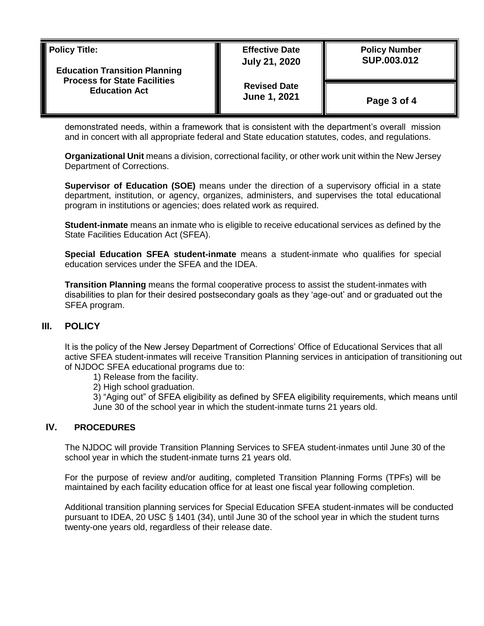| <b>Policy Title:</b><br><b>Education Transition Planning</b><br><b>Process for State Facilities</b><br><b>Education Act</b> | <b>Effective Date</b><br><b>July 21, 2020</b> | <b>Policy Number</b><br>SUP.003.012 |
|-----------------------------------------------------------------------------------------------------------------------------|-----------------------------------------------|-------------------------------------|
|                                                                                                                             | <b>Revised Date</b><br>June 1, 2021           | Page 3 of 4                         |

demonstrated needs, within a framework that is consistent with the department's overall mission and in concert with all appropriate federal and State education statutes, codes, and regulations.

**Organizational Unit** means a division, correctional facility, or other work unit within the New Jersey Department of Corrections.

**Supervisor of Education (SOE)** means under the direction of a supervisory official in a state department, institution, or agency, organizes, administers, and supervises the total educational program in institutions or agencies; does related work as required.

**Student-inmate** means an inmate who is eligible to receive educational services as defined by the State Facilities Education Act (SFEA).

**Special Education SFEA student-inmate** means a student-inmate who qualifies for special education services under the SFEA and the IDEA.

**Transition Planning** means the formal cooperative process to assist the student-inmates with disabilities to plan for their desired postsecondary goals as they 'age-out' and or graduated out the SFEA program.

### **III. POLICY**

It is the policy of the New Jersey Department of Corrections' Office of Educational Services that all active SFEA student-inmates will receive Transition Planning services in anticipation of transitioning out of NJDOC SFEA educational programs due to:

- 1) Release from the facility.
- 2) High school graduation.

3) "Aging out" of SFEA eligibility as defined by SFEA eligibility requirements, which means until June 30 of the school year in which the student-inmate turns 21 years old.

#### **IV. PROCEDURES**

The NJDOC will provide Transition Planning Services to SFEA student-inmates until June 30 of the school year in which the student-inmate turns 21 years old.

For the purpose of review and/or auditing, completed Transition Planning Forms (TPFs) will be maintained by each facility education office for at least one fiscal year following completion.

Additional transition planning services for Special Education SFEA student-inmates will be conducted pursuant to IDEA, 20 USC § 1401 (34), until June 30 of the school year in which the student turns twenty-one years old, regardless of their release date.